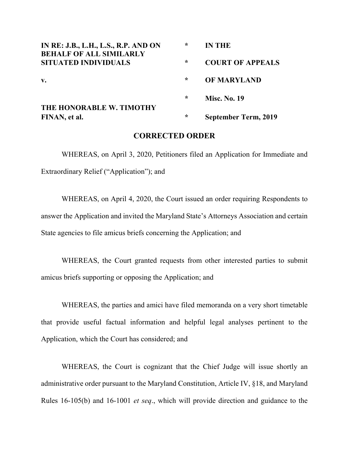| IN RE: J.B., L.H., L.S., R.P. AND ON<br><b>BEHALF OF ALL SIMILARLY</b> | $\star$ | <b>IN THE</b>               |
|------------------------------------------------------------------------|---------|-----------------------------|
| <b>SITUATED INDIVIDUALS</b>                                            | $\star$ | <b>COURT OF APPEALS</b>     |
| $V_{\bullet}$                                                          | $\star$ | <b>OF MARYLAND</b>          |
| THE HONORABLE W. TIMOTHY<br>FINAN, et al.                              | $\star$ | <b>Misc. No. 19</b>         |
|                                                                        | $\star$ | <b>September Term, 2019</b> |

## **CORRECTED ORDER**

WHEREAS, on April 3, 2020, Petitioners filed an Application for Immediate and Extraordinary Relief ("Application"); and

WHEREAS, on April 4, 2020, the Court issued an order requiring Respondents to answer the Application and invited the Maryland State's Attorneys Association and certain State agencies to file amicus briefs concerning the Application; and

WHEREAS, the Court granted requests from other interested parties to submit amicus briefs supporting or opposing the Application; and

WHEREAS, the parties and amici have filed memoranda on a very short timetable that provide useful factual information and helpful legal analyses pertinent to the Application, which the Court has considered; and

WHEREAS, the Court is cognizant that the Chief Judge will issue shortly an administrative order pursuant to the Maryland Constitution, Article IV, §18, and Maryland Rules 16-105(b) and 16-1001 *et seq*., which will provide direction and guidance to the